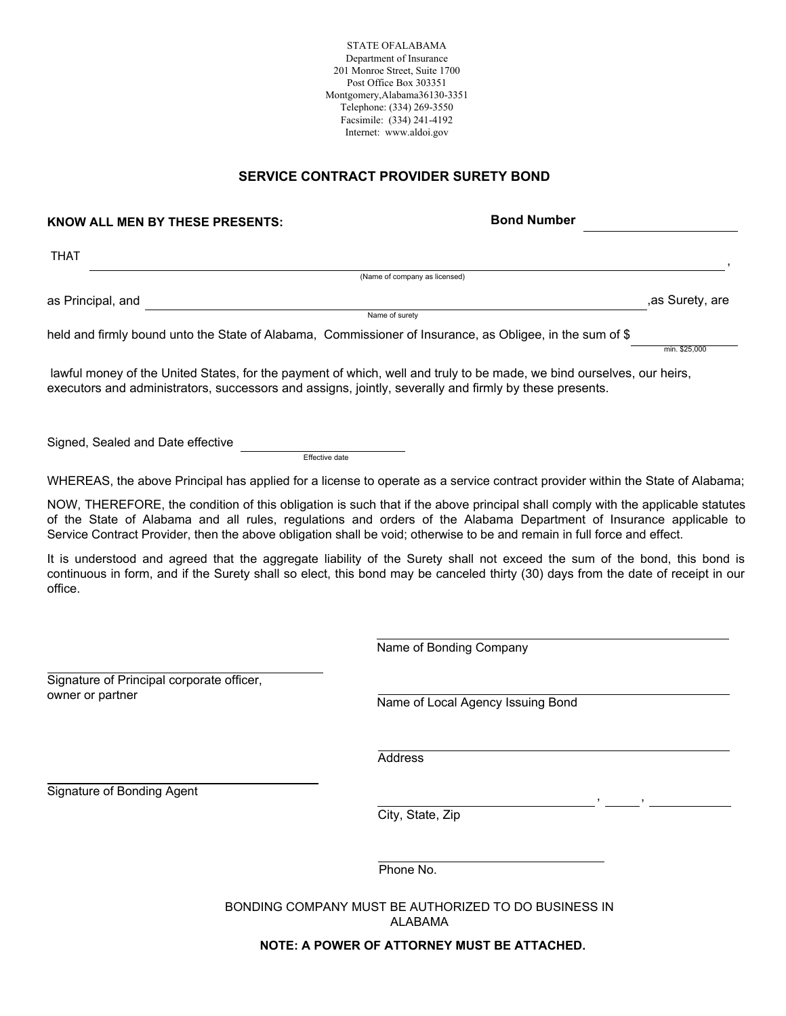STATE OFALABAMA Department of Insurance 201 Monroe Street, Suite 1700 Post Office Box 303351 Montgomery, Alabama36130-3351 Telephone: (334) 269-3550 Facsimile: (334) 241-4192 Internet: www.aldoi.gov

## SERVICE CONTRACT PROVIDER SURETY BOND

| KNOW ALL MEN BY THESE PRESENTS:                                                                          | <b>Bond Number</b>                                                                                                                                                                                                                                                                                                                                                               |
|----------------------------------------------------------------------------------------------------------|----------------------------------------------------------------------------------------------------------------------------------------------------------------------------------------------------------------------------------------------------------------------------------------------------------------------------------------------------------------------------------|
| <b>THAT</b>                                                                                              |                                                                                                                                                                                                                                                                                                                                                                                  |
|                                                                                                          | (Name of company as licensed)                                                                                                                                                                                                                                                                                                                                                    |
| as Principal, and                                                                                        | , as Surety, are                                                                                                                                                                                                                                                                                                                                                                 |
|                                                                                                          | Name of surety                                                                                                                                                                                                                                                                                                                                                                   |
| held and firmly bound unto the State of Alabama, Commissioner of Insurance, as Obligee, in the sum of \$ | min. \$25.000                                                                                                                                                                                                                                                                                                                                                                    |
| executors and administrators, successors and assigns, jointly, severally and firmly by these presents.   | lawful money of the United States, for the payment of which, well and truly to be made, we bind ourselves, our heirs,                                                                                                                                                                                                                                                            |
| Signed, Sealed and Date effective<br>Effective date                                                      |                                                                                                                                                                                                                                                                                                                                                                                  |
|                                                                                                          | WHEREAS, the above Principal has applied for a license to operate as a service contract provider within the State of Alabama;                                                                                                                                                                                                                                                    |
|                                                                                                          | NOW, THEREFORE, the condition of this obligation is such that if the above principal shall comply with the applicable statutes<br>of the State of Alabama and all rules, regulations and orders of the Alabama Department of Insurance applicable to<br>Service Contract Provider, then the above obligation shall be void; otherwise to be and remain in full force and effect. |
| office.                                                                                                  | It is understood and agreed that the aggregate liability of the Surety shall not exceed the sum of the bond, this bond is<br>continuous in form, and if the Surety shall so elect, this bond may be canceled thirty (30) days from the date of receipt in our                                                                                                                    |
|                                                                                                          | Name of Bonding Company                                                                                                                                                                                                                                                                                                                                                          |
| Signature of Principal corporate officer,<br>owner or partner                                            | Name of Local Agency Issuing Bond                                                                                                                                                                                                                                                                                                                                                |
|                                                                                                          | <b>Address</b>                                                                                                                                                                                                                                                                                                                                                                   |
| Signature of Bonding Agent                                                                               | City, State, Zip                                                                                                                                                                                                                                                                                                                                                                 |
|                                                                                                          | Phone No.                                                                                                                                                                                                                                                                                                                                                                        |

BONDING COMPANY MUST BE AUTHORIZED TO DO BUSINESS IN ALABAMA

NOTE: A POWER OF ATTORNEY MUST BE ATTACHED.